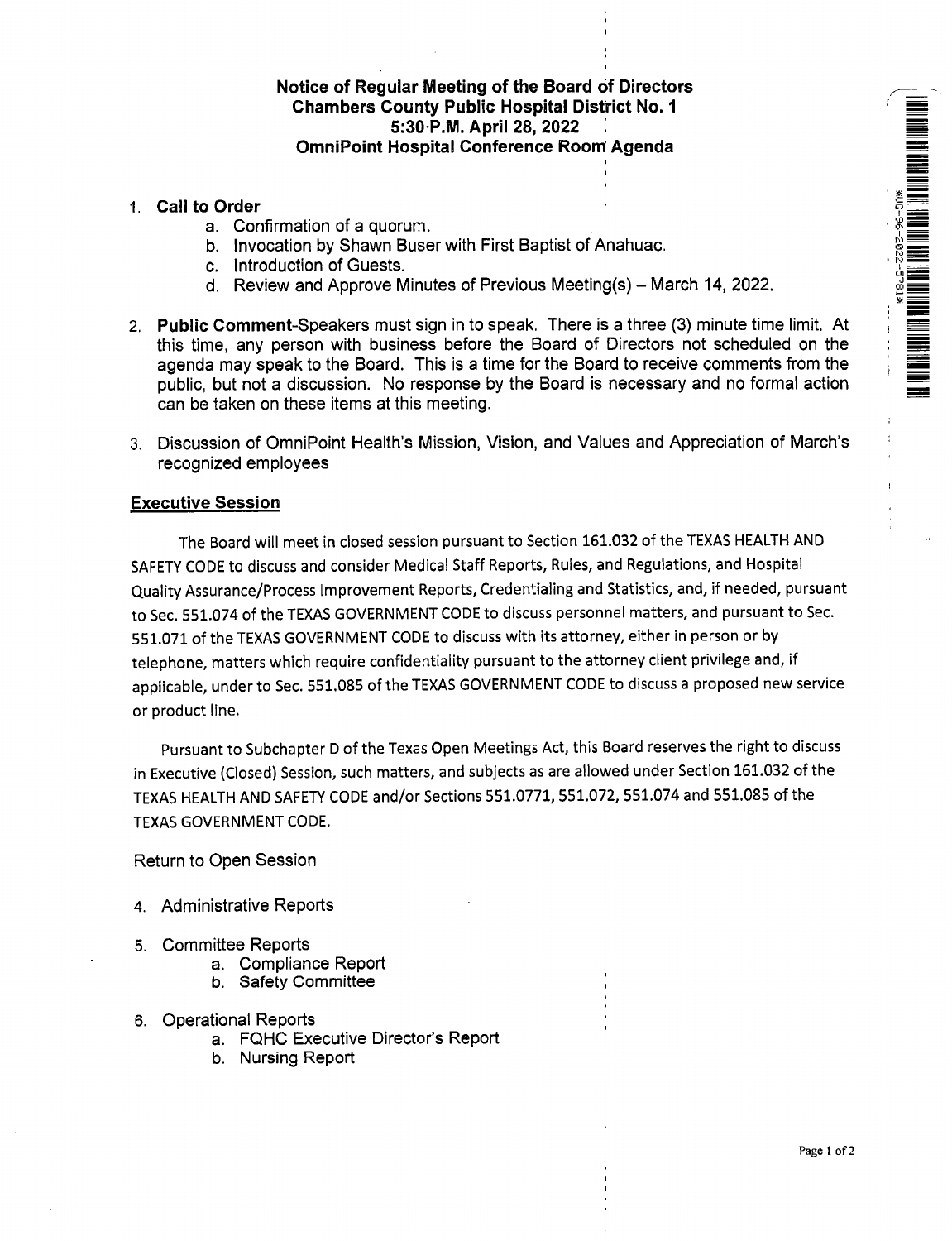## Notice of Regular Meeting of the Board of Directors Chambers County Public Hospital District No. 1 5:30•P.M. April 28, 2022 OmniPoint Hospital Conference Room Agenda

- 1. Call to Order
	- a. Confirmation of a quorum.
	- b. Invocation by Shawn Buser with First Baptist of Anahuac.
	- c. Introduction of Guests.
	- d. Review and Approve Minutes of Previous Meeting(s) March 14, 2022.
- 2. Public Comment-Speakers must sign in to speak. There is a three (3) minute time limit. At this time, any person with business before the Board of Directors not scheduled on the agenda may speak to the Board. This is a time for the Board to receive comments from the public, but not a discussion. No response by the Board is necessary and no formal action can be taken on these items at this meeting.
- 3. Discussion of OmniPoint Health's Mission, Vision, and Values and Appreciation of March's recognized employees

## Executive Session

The Board will meet in closed session pursuant to Section 161.032 of the TEXAS HEALTH AND SAFETY CODE to discuss and consider Medical Staff Reports, Rules, and Regulations, and Hospital Quality Assurance/Process Improvement Reports, Credentialing and Statistics, and, if needed, pursuant to Sec. 551.074 of the TEXAS GOVERNMENT CODE to discuss personnel matters, and pursuant to Sec. 551.071 of the TEXAS GOVERNMENT CODE to discuss with its attorney, either in person or by telephone, matters which require confidentiality pursuant to the attorney client privilege and, if applicable, under to Sec. 551.085 of the TEXAS GOVERNMENT CODE to discuss a proposed new service or product line.

Pursuant to Subchapter D of the Texas Open Meetings Act, this Board reserves the right to discuss in Executive (Closed) Session, such matters, and subjects as are allowed under Section 161.032 of the TEXAS HEALTH AND SAFETY CODE and/or Sections 551.0771, 551.072, 551.074 and 551.085 of the TEXAS GOVERNMENT CODE.

Return to Open Session

- 4. Administrative Reports
- 5. Committee Reports
	- a. Compliance Report
	- b. Safety Committee
- 6. Operational Reports
	- a. FQHC Executive Director's Report
	- b. Nursing Report

NA MANGARAN NA MANGARAT